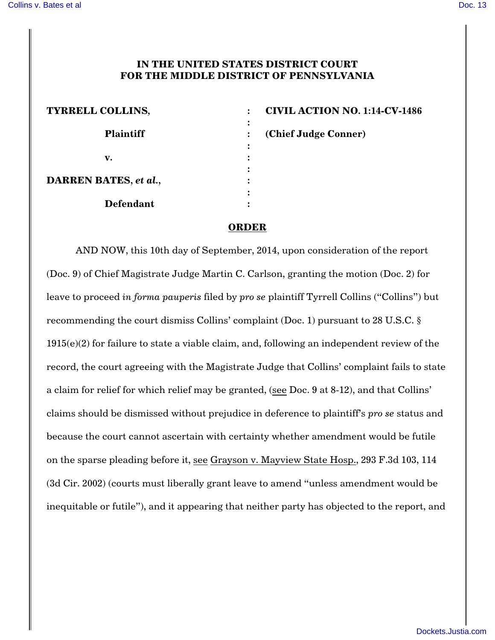## **IN THE UNITED STATES DISTRICT COURT FOR THE MIDDLE DISTRICT OF PENNSYLVANIA**

|                | <b>CIVIL</b> |
|----------------|--------------|
| $\bullet$      |              |
| $\ddot{\cdot}$ | (Chief       |
|                |              |
|                |              |
|                |              |
|                |              |
|                |              |
|                |              |
|                |              |

**TYRRELL COLLINS***,* **: CIVIL ACTION NO. 1:14-CV-1486 Judge Conner)** 

## **ORDER**

AND NOW, this 10th day of September, 2014, upon consideration of the report (Doc. 9) of Chief Magistrate Judge Martin C. Carlson, granting the motion (Doc. 2) for leave to proceed *in forma pauperis* filed by *pro se* plaintiff Tyrrell Collins ("Collins") but recommending the court dismiss Collins' complaint (Doc. 1) pursuant to 28 U.S.C. § 1915(e)(2) for failure to state a viable claim, and, following an independent review of the record, the court agreeing with the Magistrate Judge that Collins' complaint fails to state a claim for relief for which relief may be granted, (see Doc. 9 at 8-12), and that Collins' claims should be dismissed without prejudice in deference to plaintiff's *pro se* status and because the court cannot ascertain with certainty whether amendment would be futile on the sparse pleading before it, see Grayson v. Mayview State Hosp., 293 F.3d 103, 114 (3d Cir. 2002) (courts must liberally grant leave to amend "unless amendment would be inequitable or futile"), and it appearing that neither party has objected to the report, and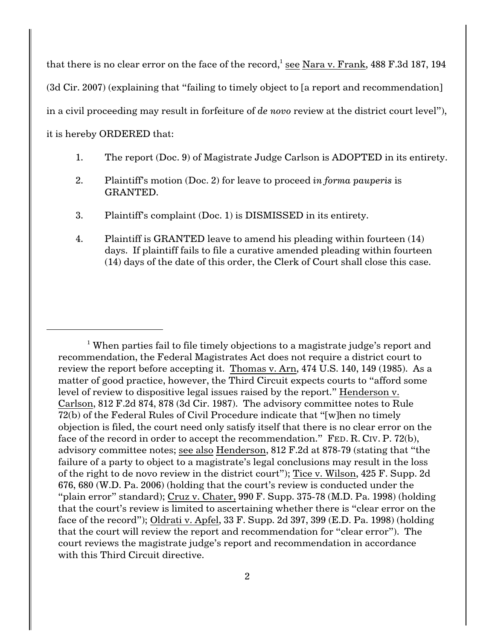that there is no clear error on the face of the record, $1$  see Nara v. Frank, 488 F.3d 187, 194

(3d Cir. 2007) (explaining that "failing to timely object to [a report and recommendation]

in a civil proceeding may result in forfeiture of *de novo* review at the district court level"),

it is hereby ORDERED that:

- 1. The report (Doc. 9) of Magistrate Judge Carlson is ADOPTED in its entirety.
- 2. Plaintiff's motion (Doc. 2) for leave to proceed *in forma pauperis* is GRANTED.
- 3. Plaintiff's complaint (Doc. 1) is DISMISSED in its entirety.
- 4. Plaintiff is GRANTED leave to amend his pleading within fourteen (14) days. If plaintiff fails to file a curative amended pleading within fourteen (14) days of the date of this order, the Clerk of Court shall close this case.

<sup>&</sup>lt;sup>1</sup> When parties fail to file timely objections to a magistrate judge's report and recommendation, the Federal Magistrates Act does not require a district court to review the report before accepting it. Thomas v. Arn, 474 U.S. 140, 149 (1985). As a matter of good practice, however, the Third Circuit expects courts to "afford some level of review to dispositive legal issues raised by the report." Henderson v. Carlson, 812 F.2d 874, 878 (3d Cir. 1987). The advisory committee notes to Rule 72(b) of the Federal Rules of Civil Procedure indicate that "[w]hen no timely objection is filed, the court need only satisfy itself that there is no clear error on the face of the record in order to accept the recommendation." FED. R. CIV. P. 72(b), advisory committee notes; see also Henderson, 812 F.2d at 878-79 (stating that "the failure of a party to object to a magistrate's legal conclusions may result in the loss of the right to de novo review in the district court"); Tice v. Wilson, 425 F. Supp. 2d 676, 680 (W.D. Pa. 2006) (holding that the court's review is conducted under the "plain error" standard); Cruz v. Chater, 990 F. Supp. 375-78 (M.D. Pa. 1998) (holding that the court's review is limited to ascertaining whether there is "clear error on the face of the record"); Oldrati v. Apfel, 33 F. Supp. 2d 397, 399 (E.D. Pa. 1998) (holding that the court will review the report and recommendation for "clear error"). The court reviews the magistrate judge's report and recommendation in accordance with this Third Circuit directive.